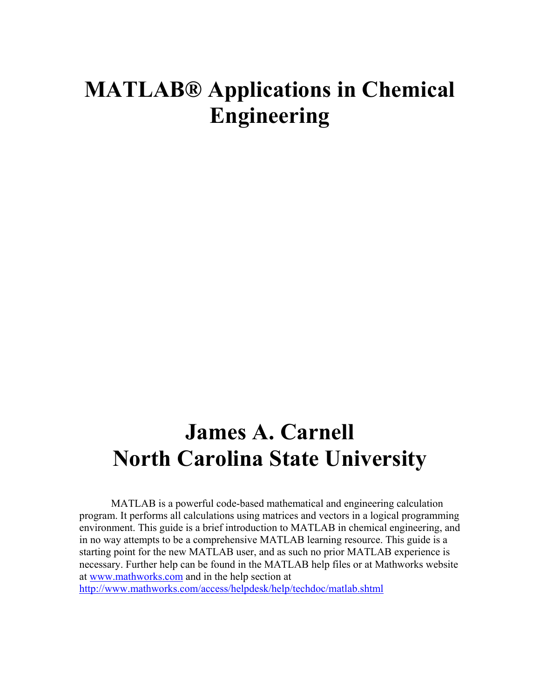# **MATLAB® Applications in Chemical Engineering**

# **James A. Carnell North Carolina State University**

MATLAB is a powerful code-based mathematical and engineering calculation program. It performs all calculations using matrices and vectors in a logical programming environment. This guide is a brief introduction to MATLAB in chemical engineering, and in no way attempts to be a comprehensive MATLAB learning resource. This guide is a starting point for the new MATLAB user, and as such no prior MATLAB experience is necessary. Further help can be found in the MATLAB help files or at Mathworks website at www.mathworks.com and in the help section at

http://www.mathworks.com/access/helpdesk/help/techdoc/matlab.shtml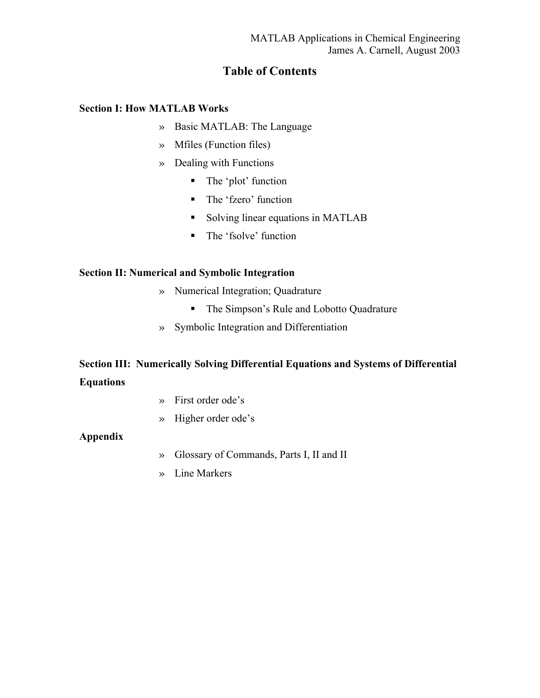# **Table of Contents**

## **Section I: How MATLAB Works**

- » Basic MATLAB: The Language
- » Mfiles (Function files)
- » Dealing with Functions
	- The 'plot' function
	- The 'fzero' function
	- Solving linear equations in MATLAB
	- The 'fsolve' function

## **Section II: Numerical and Symbolic Integration**

- » Numerical Integration; Quadrature
	- The Simpson's Rule and Lobotto Quadrature
- » Symbolic Integration and Differentiation

# **Section III: Numerically Solving Differential Equations and Systems of Differential Equations**

- » First order ode's
- » Higher order ode's

## **Appendix**

- » Glossary of Commands, Parts I, II and II
- » Line Markers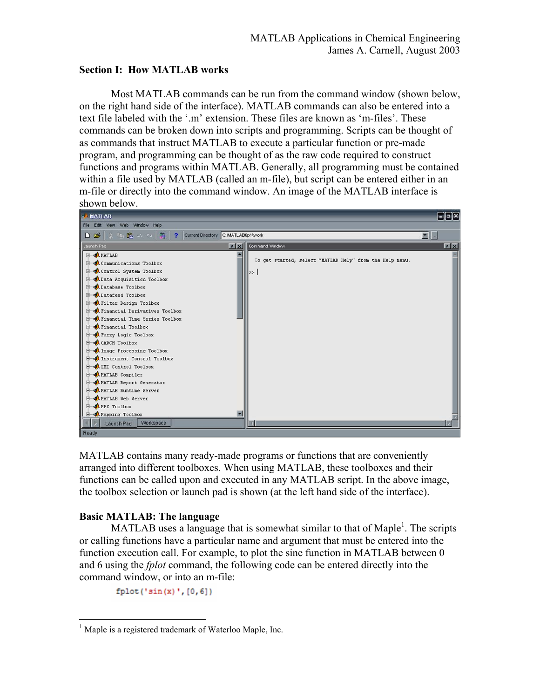## **Section I: How MATLAB works**

Most MATLAB commands can be run from the command window (shown below, on the right hand side of the interface). MATLAB commands can also be entered into a text file labeled with the '.m' extension. These files are known as 'm-files'. These commands can be broken down into scripts and programming. Scripts can be thought of as commands that instruct MATLAB to execute a particular function or pre-made program, and programming can be thought of as the raw code required to construct functions and programs within MATLAB. Generally, all programming must be contained within a file used by MATLAB (called an m-file), but script can be entered either in an m-file or directly into the command window. An image of the MATLAB interface is shown below.



MATLAB contains many ready-made programs or functions that are conveniently arranged into different toolboxes. When using MATLAB, these toolboxes and their functions can be called upon and executed in any MATLAB script. In the above image, the toolbox selection or launch pad is shown (at the left hand side of the interface).

## **Basic MATLAB: The language**

 $\overline{a}$ 

MATLAB uses a language that is somewhat similar to that of Maple<sup>1</sup>. The scripts or calling functions have a particular name and argument that must be entered into the function execution call. For example, to plot the sine function in MATLAB between 0 and 6 using the *fplot* command, the following code can be entered directly into the command window, or into an m-file:

 $fplot('sin(x) ', [0, 6])$ 

<sup>&</sup>lt;sup>1</sup> Maple is a registered trademark of Waterloo Maple, Inc.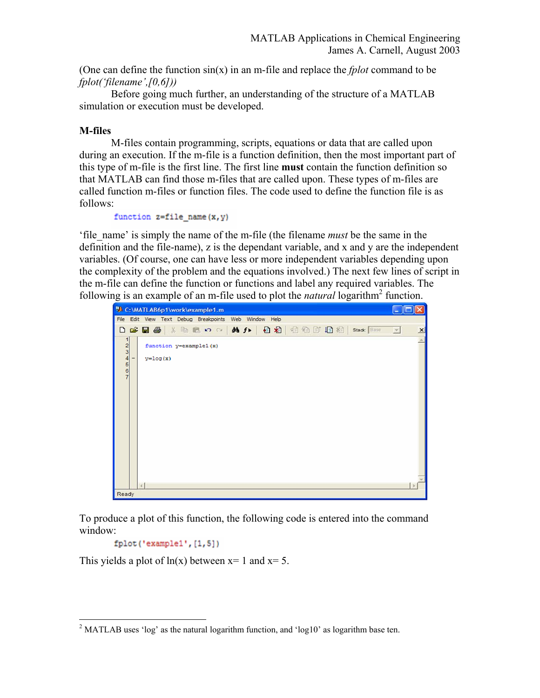(One can define the function  $sin(x)$  in an m-file and replace the *fplot* command to be *fplot('filename',[0,6]))* 

Before going much further, an understanding of the structure of a MATLAB simulation or execution must be developed.

## **M-files**

M-files contain programming, scripts, equations or data that are called upon during an execution. If the m-file is a function definition, then the most important part of this type of m-file is the first line. The first line **must** contain the function definition so that MATLAB can find those m-files that are called upon. These types of m-files are called function m-files or function files. The code used to define the function file is as follows:

```
function z=file name(x, y)
```
'file\_name' is simply the name of the m-file (the filename *must* be the same in the definition and the file-name), z is the dependant variable, and x and y are the independent variables. (Of course, one can have less or more independent variables depending upon the complexity of the problem and the equations involved.) The next few lines of script in the m-file can define the function or functions and label any required variables. The following is an example of an m-file used to plot the *natural* logarithm<sup>2</sup> function.



To produce a plot of this function, the following code is entered into the command window:

```
fplot('example1', [1,5])
```
This yields a plot of  $ln(x)$  between  $x=1$  and  $x=5$ .

 $\overline{a}$ <sup>2</sup> MATLAB uses 'log' as the natural logarithm function, and 'log10' as logarithm base ten.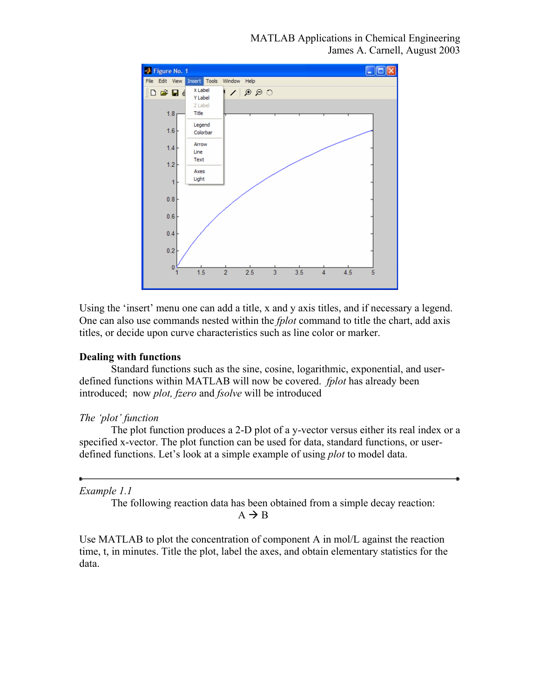

Using the 'insert' menu one can add a title, x and y axis titles, and if necessary a legend. One can also use commands nested within the *fplot* command to title the chart, add axis titles, or decide upon curve characteristics such as line color or marker.

## **Dealing with functions**

Standard functions such as the sine, cosine, logarithmic, exponential, and userdefined functions within MATLAB will now be covered. *fplot* has already been introduced; now *plot, fzero* and *fsolve* will be introduced

## *The 'plot' function*

The plot function produces a 2-D plot of a y-vector versus either its real index or a specified x-vector. The plot function can be used for data, standard functions, or userdefined functions. Let's look at a simple example of using *plot* to model data.

## *Example 1.1*

The following reaction data has been obtained from a simple decay reaction:  $A \rightarrow B$ 

Use MATLAB to plot the concentration of component A in mol/L against the reaction time, t, in minutes. Title the plot, label the axes, and obtain elementary statistics for the data.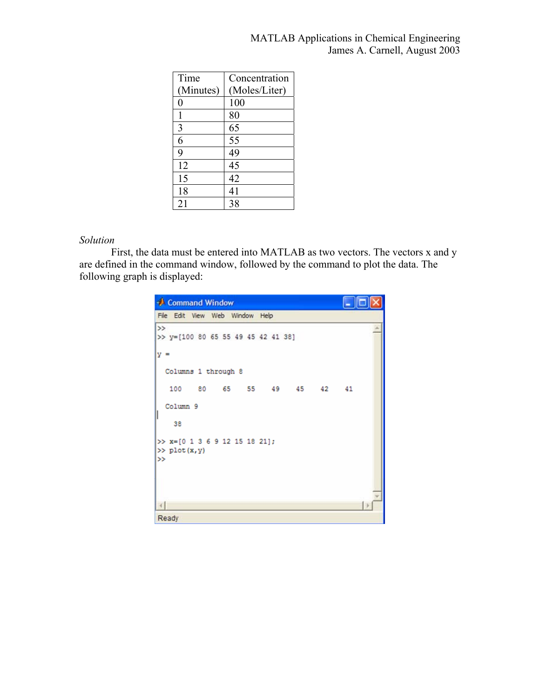| Time      | Concentration |
|-----------|---------------|
| (Minutes) | (Moles/Liter) |
| 0         | 100           |
|           | 80            |
| 3         | 65            |
| 6         | 55            |
| 9         | 49            |
| 12        | 45            |
| 15        | 42            |
| 18        | 41            |
| 21        | 38            |

## *Solution*

 First, the data must be entered into MATLAB as two vectors. The vectors x and y are defined in the command window, followed by the command to plot the data. The following graph is displayed:

| Command Window                                         |  |
|--------------------------------------------------------|--|
| File Edit View Web Window Help                         |  |
| $\rightarrow$<br>>> y=[100 80 65 55 49 45 42 41 38]    |  |
| $y =$                                                  |  |
| Columns 1 through 8                                    |  |
| 100 80 65 55 49 45 42 41                               |  |
| Column 9                                               |  |
| 38                                                     |  |
| $\gg$ x=[0 1 3 6 9 12 15 18 21];<br>>> plot(x,y)<br>>> |  |
| Ready                                                  |  |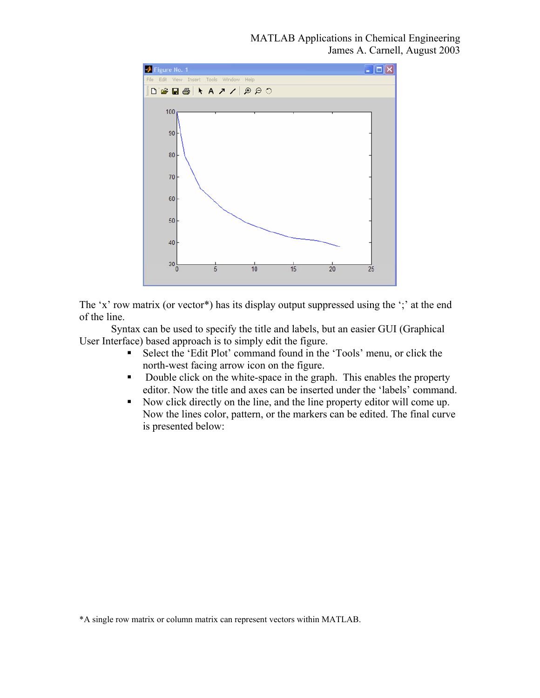

The 'x' row matrix (or vector<sup>\*</sup>) has its display output suppressed using the ';' at the end of the line.

 Syntax can be used to specify the title and labels, but an easier GUI (Graphical User Interface) based approach is to simply edit the figure.

- Select the 'Edit Plot' command found in the 'Tools' menu, or click the north-west facing arrow icon on the figure.
- Double click on the white-space in the graph. This enables the property editor. Now the title and axes can be inserted under the 'labels' command.
- Now click directly on the line, and the line property editor will come up. Now the lines color, pattern, or the markers can be edited. The final curve is presented below: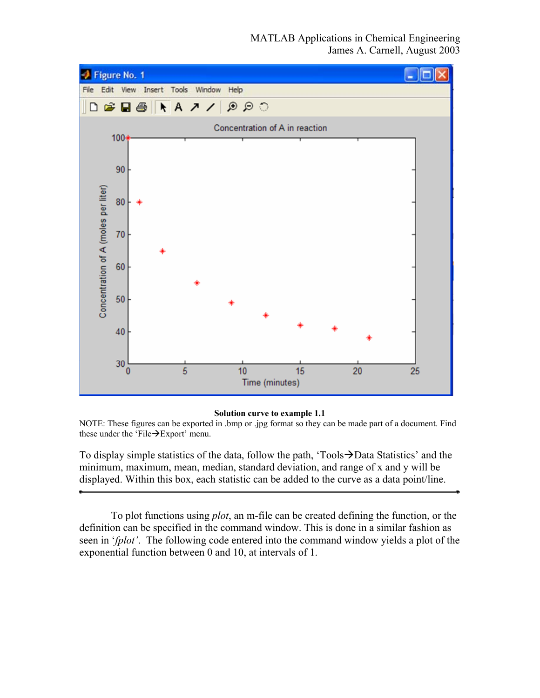MATLAB Applications in Chemical Engineering James A. Carnell, August 2003



#### **Solution curve to example 1.1**

NOTE: These figures can be exported in .bmp or .jpg format so they can be made part of a document. Find these under the 'File $\rightarrow$ Export' menu.

To display simple statistics of the data, follow the path, 'Tools $\rightarrow$ Data Statistics' and the minimum, maximum, mean, median, standard deviation, and range of x and y will be displayed. Within this box, each statistic can be added to the curve as a data point/line.

 To plot functions using *plot*, an m-file can be created defining the function, or the definition can be specified in the command window. This is done in a similar fashion as seen in '*fplot'*. The following code entered into the command window yields a plot of the exponential function between 0 and 10, at intervals of 1.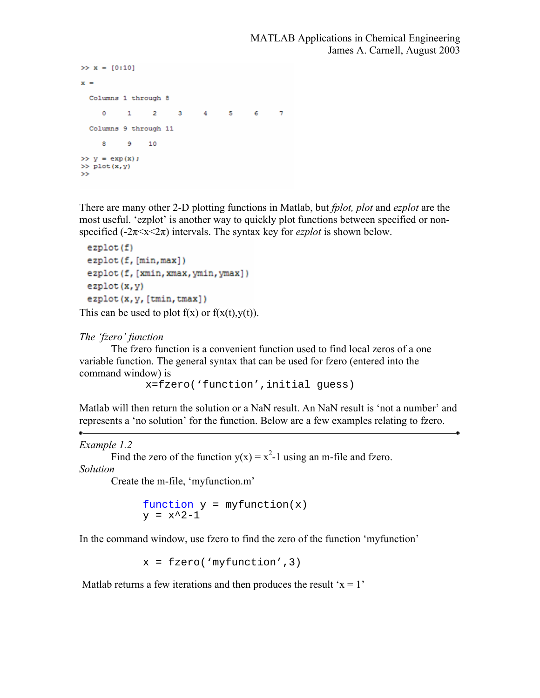```
>> x = [0:10]x =Columns 1 through 8
     0 \qquad 1 \qquad 2 \qquad 3 \qquad 4 \qquad 5 \qquad 6\overline{7}Columns 9 through 11
          9 108.
\gg y = exp(x);
\gg plot (x, y)\rightarrow
```
There are many other 2-D plotting functions in Matlab, but *fplot, plot* and *ezplot* are the most useful. 'ezplot' is another way to quickly plot functions between specified or nonspecified  $(-2\pi \le x \le 2\pi)$  intervals. The syntax key for *ezplot* is shown below.

```
ezplot(f)ezplot(f, [min, max])
ezplot (f, [xmin, xmax, ymin, ymax])
ezplot(x, y)ezplot(x, y, [tmin, tmax])
```
This can be used to plot  $f(x)$  or  $f(x(t),y(t))$ .

## *The 'fzero' function*

The fzero function is a convenient function used to find local zeros of a one variable function. The general syntax that can be used for fzero (entered into the command window) is

x=fzero('function',initial guess)

Matlab will then return the solution or a NaN result. An NaN result is 'not a number' and represents a 'no solution' for the function. Below are a few examples relating to fzero.

#### *Example 1.2*

Find the zero of the function  $y(x) = x^2 - 1$  using an m-file and fzero.

*Solution* 

Create the m-file, 'myfunction.m'

function  $y = myfunction(x)$  $y = x^2-1$ 

In the command window, use fzero to find the zero of the function 'myfunction'

 $x = fzero('myfunction', 3)$ 

Matlab returns a few iterations and then produces the result ' $x = 1$ '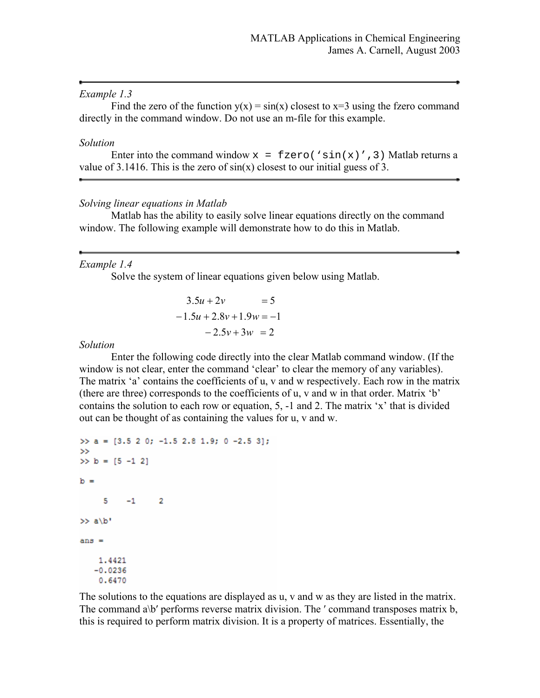### *Example 1.3*

Find the zero of the function  $y(x) = sin(x)$  closest to  $x=3$  using the fzero command directly in the command window. Do not use an m-file for this example.

#### *Solution*

```
Enter into the command window x = fzero('sin(x)', 3) Matlab returns a
value of 3.1416. This is the zero of sin(x) closest to our initial guess of 3.
```
## *Solving linear equations in Matlab*

 Matlab has the ability to easily solve linear equations directly on the command window. The following example will demonstrate how to do this in Matlab.

## *Example 1.4*

Solve the system of linear equations given below using Matlab.

$$
3.5u + 2v = 5
$$
  
-1.5u + 2.8v + 1.9w = -1  
-2.5v + 3w = 2

*Solution* 

 Enter the following code directly into the clear Matlab command window. (If the window is not clear, enter the command 'clear' to clear the memory of any variables). The matrix 'a' contains the coefficients of u, v and w respectively. Each row in the matrix (there are three) corresponds to the coefficients of u, v and w in that order. Matrix 'b' contains the solution to each row or equation, 5, -1 and 2. The matrix 'x' that is divided out can be thought of as containing the values for u, v and w.

```
\gg a = [3.5 2 0; -1.5 2.8 1.9; 0 -2.5 3];
\rightarrow>> b = [5 -1 2]b =5
         -1 2
>> a/b'ans =1.4421
   -0.02360.6470
```
The solutions to the equations are displayed as u, v and w as they are listed in the matrix. The command a\b' performs reverse matrix division. The ' command transposes matrix b, this is required to perform matrix division. It is a property of matrices. Essentially, the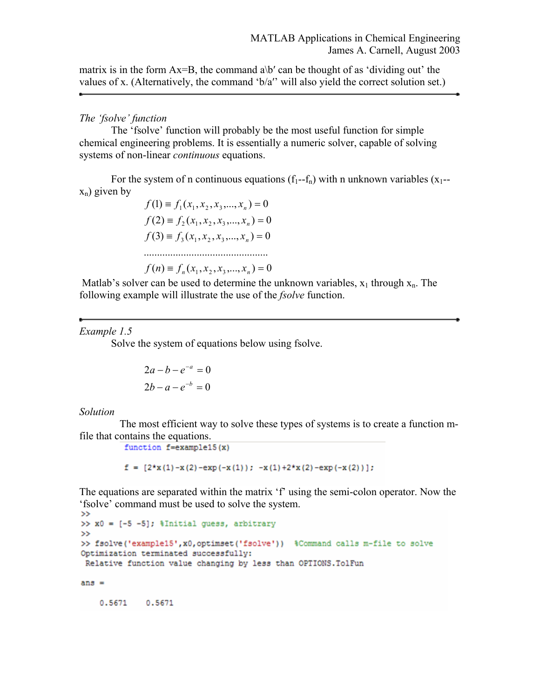matrix is in the form  $Ax = B$ , the command  $a\$ ' can be thought of as 'dividing out' the values of x. (Alternatively, the command 'b/a′' will also yield the correct solution set.)

## *The 'fsolve' function*

 The 'fsolve' function will probably be the most useful function for simple chemical engineering problems. It is essentially a numeric solver, capable of solving systems of non-linear *continuous* equations.

For the system of n continuous equations  $(f_1-f_n)$  with n unknown variables  $(x_1-f_1)$  $x_n$ ) given by

$$
f(1) = f_1(x_1, x_2, x_3, ..., x_n) = 0
$$
  
\n
$$
f(2) = f_2(x_1, x_2, x_3, ..., x_n) = 0
$$
  
\n
$$
f(3) = f_3(x_1, x_2, x_3, ..., x_n) = 0
$$
  
\n
$$
f(n) = f_n(x_1, x_2, x_3, ..., x_n) = 0
$$

Matlab's solver can be used to determine the unknown variables,  $x_1$  through  $x_n$ . The following example will illustrate the use of the *fsolve* function.

#### *Example 1.5*

Solve the system of equations below using fsolve.

$$
2a - b - e^{-a} = 0
$$

$$
2b - a - e^{-b} = 0
$$

#### *Solution*

The most efficient way to solve these types of systems is to create a function mfile that contains the equations.<br> $\frac{\text{function} f = \text{example15(x)}}{\text{function} f = \text{example15(x)}}$ 

 $f = [2*x(1) - x(2) - exp(-x(1)); -x(1) + 2*x(2) - exp(-x(2))];$ 

The equations are separated within the matrix 'f' using the semi-colon operator. Now the 'fsolve' command must be used to solve the system.

```
>> x0 = [-5 -5]; $Initial quess, arbitrary
\rightarrow>> fsolve('example15', x0, optimset('fsolve')) & Command calls m-file to solve
Optimization terminated successfully:
Relative function value changing by less than OPTIONS. TolFun
ans =
```
0.5671 0.5671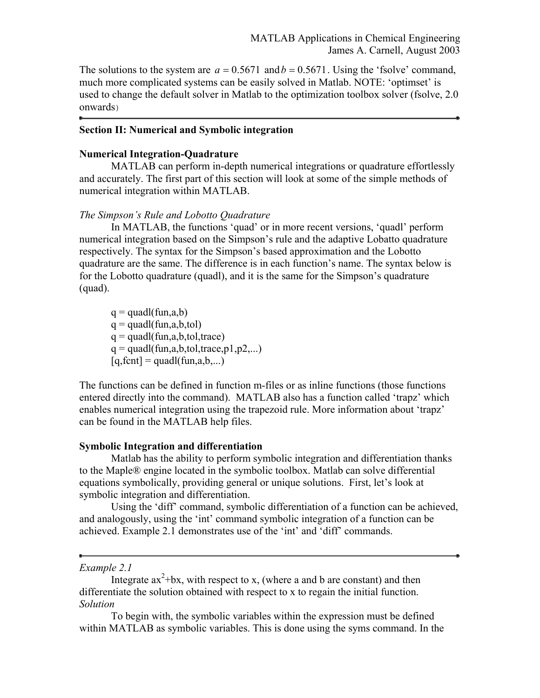The solutions to the system are  $a = 0.5671$  and  $b = 0.5671$ . Using the 'fsolve' command, much more complicated systems can be easily solved in Matlab. NOTE: 'optimset' is used to change the default solver in Matlab to the optimization toolbox solver (fsolve, 2.0 onwards)

#### **Section II: Numerical and Symbolic integration**

#### **Numerical Integration-Quadrature**

MATLAB can perform in-depth numerical integrations or quadrature effortlessly and accurately. The first part of this section will look at some of the simple methods of numerical integration within MATLAB.

#### *The Simpson's Rule and Lobotto Quadrature*

In MATLAB, the functions 'quad' or in more recent versions, 'quadl' perform numerical integration based on the Simpson's rule and the adaptive Lobatto quadrature respectively. The syntax for the Simpson's based approximation and the Lobotto quadrature are the same. The difference is in each function's name. The syntax below is for the Lobotto quadrature (quadl), and it is the same for the Simpson's quadrature (quad).

 $q = \text{quadl}(\text{fun},a,b)$  $q = \text{quadl}(\text{fun},a,b,\text{tol})$  $q = \text{quadl}(\text{fun},a,b,\text{tol},\text{trace})$  $q = \text{quadl}(\text{fun},a,b,\text{tol},\text{trace},p1,p2,...)$  $[q, fcnt] = \text{quadl}(fun, a, b,...)$ 

The functions can be defined in function m-files or as inline functions (those functions entered directly into the command). MATLAB also has a function called 'trapz' which enables numerical integration using the trapezoid rule. More information about 'trapz' can be found in the MATLAB help files.

#### **Symbolic Integration and differentiation**

Matlab has the ability to perform symbolic integration and differentiation thanks to the Maple® engine located in the symbolic toolbox. Matlab can solve differential equations symbolically, providing general or unique solutions. First, let's look at symbolic integration and differentiation.

Using the 'diff' command, symbolic differentiation of a function can be achieved, and analogously, using the 'int' command symbolic integration of a function can be achieved. Example 2.1 demonstrates use of the 'int' and 'diff' commands.

## *Example 2.1*

Integrate  $ax^2+bx$ , with respect to x, (where a and b are constant) and then differentiate the solution obtained with respect to x to regain the initial function. *Solution* 

To begin with, the symbolic variables within the expression must be defined within MATLAB as symbolic variables. This is done using the syms command. In the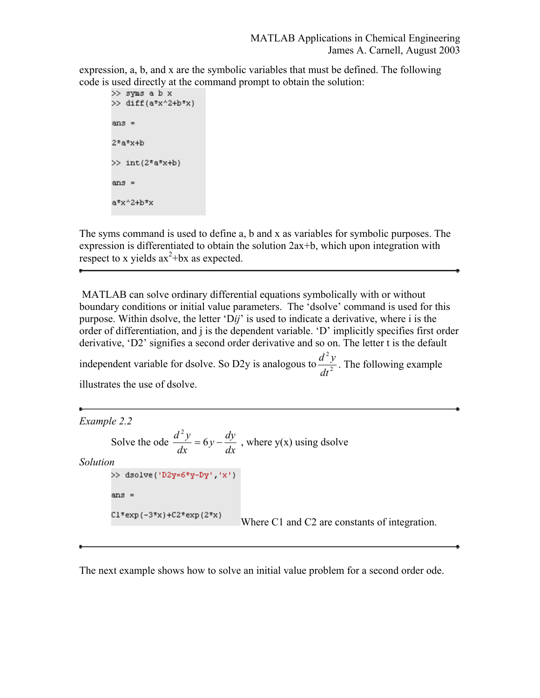expression, a, b, and x are the symbolic variables that must be defined. The following code is used directly at the command prompt to obtain the solution:

```
>> syms a b x
\gg diff(a*x^2+b*x)
ans =2*a*x+b>> int(2^*a^*x+b)ans =a*x^2+b*x
```
The syms command is used to define a, b and x as variables for symbolic purposes. The expression is differentiated to obtain the solution 2ax+b, which upon integration with respect to x yields  $ax^2+bx$  as expected.

 MATLAB can solve ordinary differential equations symbolically with or without boundary conditions or initial value parameters. The 'dsolve' command is used for this purpose. Within dsolve, the letter 'D*ij*' is used to indicate a derivative, where i is the order of differentiation, and j is the dependent variable. 'D' implicitly specifies first order derivative, 'D2' signifies a second order derivative and so on. The letter t is the default

independent variable for dsolve. So D2y is analogous to  $\frac{d^2y}{dt^2}$ 2 *dt*  $\frac{d^2y}{dx^2}$ . The following example illustrates the use of dsolve.

```
Example 2.2 
                        \frac{d^2y}{dx^2} = 6y - \frac{dy}{dx}Solve the ode 
                                         , where y(x) using dsolve
Solution 
        >> dsolve('D2y=6*y-Dy','x')
        ans =C1*exp(-3*x)+C2*exp(2*x)Where C1 and C2 are constants of integration.
```
The next example shows how to solve an initial value problem for a second order ode.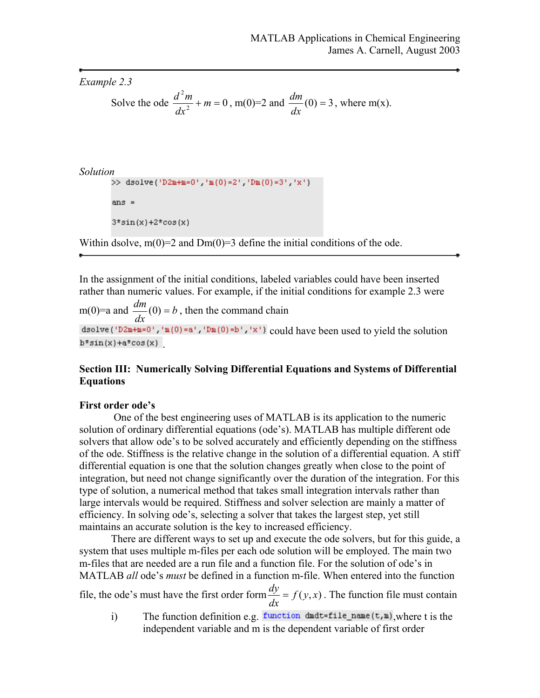```
Example 2.3
```
Solve the ode 
$$
\frac{d^2m}{dx^2}
$$
 + m = 0, m(0)=2 and  $\frac{dm}{dx}$ (0) = 3, where m(x).

```
Solution<br>
>> dsolve('D2m+m=0','m(0)=2','Dm(0)=3','x')
```
 $ans =$ 

```
3*sin(x) + 2*cos(x)
```
Within dsolve,  $m(0)=2$  and  $Dm(0)=3$  define the initial conditions of the ode.

In the assignment of the initial conditions, labeled variables could have been inserted rather than numeric values. For example, if the initial conditions for example 2.3 were

m(0)=a and  $\frac{am}{1}$ (0) = b *dx*  $\frac{dm}{dt}(0) = b$ , then the command chain dsolve ('D2m+m=0','m(0)=a','Dm(0)=b','x') could have been used to yield the solution  $b*sin(x) + a*cos(x)$ 

## **Section III: Numerically Solving Differential Equations and Systems of Differential Equations**

## **First order ode's**

 One of the best engineering uses of MATLAB is its application to the numeric solution of ordinary differential equations (ode's). MATLAB has multiple different ode solvers that allow ode's to be solved accurately and efficiently depending on the stiffness of the ode. Stiffness is the relative change in the solution of a differential equation. A stiff differential equation is one that the solution changes greatly when close to the point of integration, but need not change significantly over the duration of the integration. For this type of solution, a numerical method that takes small integration intervals rather than large intervals would be required. Stiffness and solver selection are mainly a matter of efficiency. In solving ode's, selecting a solver that takes the largest step, yet still maintains an accurate solution is the key to increased efficiency.

There are different ways to set up and execute the ode solvers, but for this guide, a system that uses multiple m-files per each ode solution will be employed. The main two m-files that are needed are a run file and a function file. For the solution of ode's in MATLAB *all* ode's *must* be defined in a function m-file. When entered into the function

file, the ode's must have the first order form  $\frac{dy}{dx} = f(y, x)$ . The function file must contain

i) The function definition e.g. function dudt=file\_name( $t, m$ ), where t is the independent variable and m is the dependent variable of first order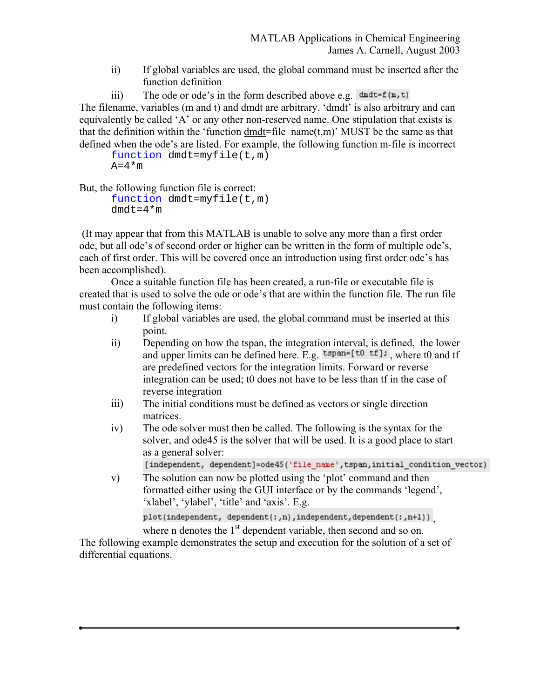- ii) If global variables are used, the global command must be inserted after the function definition
- iii) The ode or ode's in the form described above e.g.  $\det^{-1}(m, t)$

The filename, variables (m and t) and dmdt are arbitrary. 'dmdt' is also arbitrary and can equivalently be called 'A' or any other non-reserved name. One stipulation that exists is that the definition within the 'function dmdt=file  $name(t,m)'$  MUST be the same as that defined when the ode's are listed. For example, the following function m-file is incorrect

function dmdt=myfile(t,m)  $A=4*m$ 

But, the following function file is correct:

function dmdt=myfile(t,m)  $dmdt=4*m$ 

 (It may appear that from this MATLAB is unable to solve any more than a first order ode, but all ode's of second order or higher can be written in the form of multiple ode's, each of first order. This will be covered once an introduction using first order ode's has been accomplished).

 Once a suitable function file has been created, a run-file or executable file is created that is used to solve the ode or ode's that are within the function file. The run file must contain the following items:

- i) If global variables are used, the global command must be inserted at this point.
- ii) Depending on how the tspan, the integration interval, is defined, the lower and upper limits can be defined here. E.g.  $t^{\text{span}=[t0 \ t \text{f}];}$ , where t0 and tf are predefined vectors for the integration limits. Forward or reverse integration can be used; t0 does not have to be less than tf in the case of reverse integration
- iii) The initial conditions must be defined as vectors or single direction matrices.
- iv) The ode solver must then be called. The following is the syntax for the solver, and ode45 is the solver that will be used. It is a good place to start as a general solver:

[independent, dependent]=ode45('file\_name',tspan,initial\_condition\_vector)

v) The solution can now be plotted using the 'plot' command and then formatted either using the GUI interface or by the commands 'legend', 'xlabel', 'ylabel', 'title' and 'axis'. E.g. plot(independent, dependent(:,n),independent,dependent(:,n+1))

where n denotes the 1<sup>st</sup> dependent variable, then second and so on.

The following example demonstrates the setup and execution for the solution of a set of differential equations.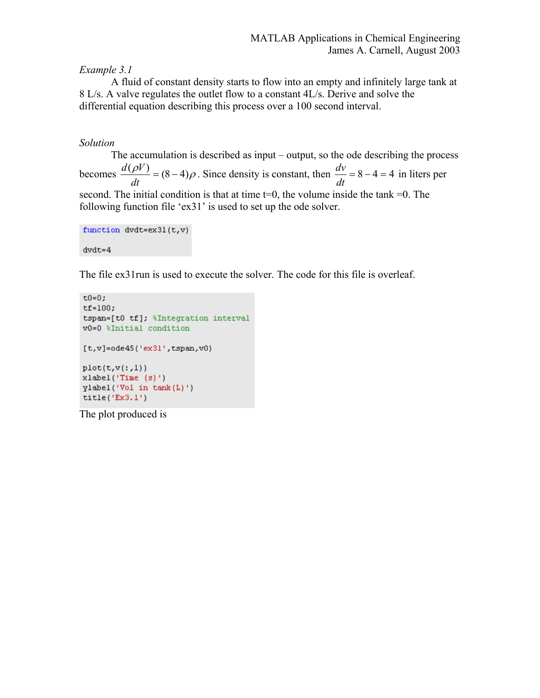## *Example 3.1*

 A fluid of constant density starts to flow into an empty and infinitely large tank at 8 L/s. A valve regulates the outlet flow to a constant 4L/s. Derive and solve the differential equation describing this process over a 100 second interval.

## *Solution*

 The accumulation is described as input – output, so the ode describing the process becomes  $\frac{d(\rho V)}{dt} = (8 - 4)\rho$ . Since density is constant, then  $\frac{dv}{dt} = 8 - 4 = 4$ *dt*  $\frac{dv}{dt}$  = 8 – 4 = 4 in liters per second. The initial condition is that at time t=0, the volume inside the tank =0. The following function file 'ex31' is used to set up the ode solver.

```
function dvdt = ex31(t, v)dvdt = 4
```
The file ex31run is used to execute the solver. The code for this file is overleaf.

```
t0=0:tf=100;tspan=[t0 tf]; \'Integration interval
v0=0 %Initial condition
[t, v] = ode45('ex31', tspan, v0)plot(t, v(:, 1))xlabel('Time (s)')
ylabel('Vol in tank(L)')
title('Ex3.1')
```
The plot produced is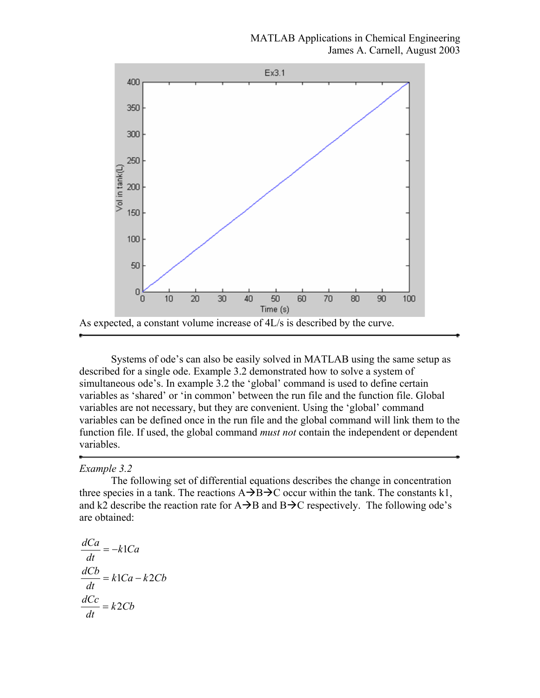

 Systems of ode's can also be easily solved in MATLAB using the same setup as described for a single ode. Example 3.2 demonstrated how to solve a system of simultaneous ode's. In example 3.2 the 'global' command is used to define certain variables as 'shared' or 'in common' between the run file and the function file. Global variables are not necessary, but they are convenient. Using the 'global' command variables can be defined once in the run file and the global command will link them to the function file. If used, the global command *must not* contain the independent or dependent variables.

#### *Example 3.2*

 The following set of differential equations describes the change in concentration three species in a tank. The reactions  $A\rightarrow B\rightarrow C$  occur within the tank. The constants k1, and k2 describe the reaction rate for  $A \rightarrow B$  and  $B \rightarrow C$  respectively. The following ode's are obtained:

$$
\frac{dCa}{dt} = -k1Ca
$$

$$
\frac{dCb}{dt} = k1Ca - k2Cb
$$

$$
\frac{dCc}{dt} = k2Cb
$$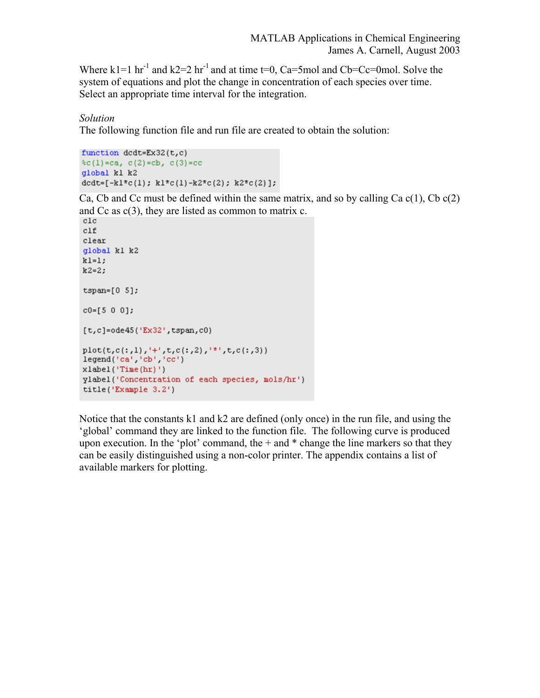Where k1=1 hr<sup>-1</sup> and k2=2 hr<sup>-1</sup> and at time t=0, Ca=5mol and Cb=Cc=0mol. Solve the system of equations and plot the change in concentration of each species over time. Select an appropriate time interval for the integration.

## *Solution*

The following function file and run file are created to obtain the solution:

```
function dcdt = Ex32(t,c)(c(1)=ca, c(2)=cb, c(3)=ccglobal kl k2
dcdt=[-kl^{\pm}c(1); kl^{\pm}c(1)-k2^{\pm}c(2); k2^{\pm}c(2)];
```
Ca, Cb and Cc must be defined within the same matrix, and so by calling Ca  $c(1)$ , Cb  $c(2)$ and  $Cc$  as  $c(3)$ , they are listed as common to matrix  $c$ .

```
_{\text{clc}}c1fclear
global kl k2
k1=1;k2=2;tspan=[0 5];c0 = [5 0 0];[t,c]=ode45('Ex32',tspan,c0)plot(t, c(:, 1), ' + ', t, c(:, 2), ' + ', t, c(:, 3))legend('ca' 'cb' 'cc')
xlabel('Time(hr)')ylabel('Concentration of each species, mols/hr')
title('Example 3.2')
```
Notice that the constants k1 and k2 are defined (only once) in the run file, and using the 'global' command they are linked to the function file. The following curve is produced upon execution. In the 'plot' command, the  $+$  and  $*$  change the line markers so that they can be easily distinguished using a non-color printer. The appendix contains a list of available markers for plotting.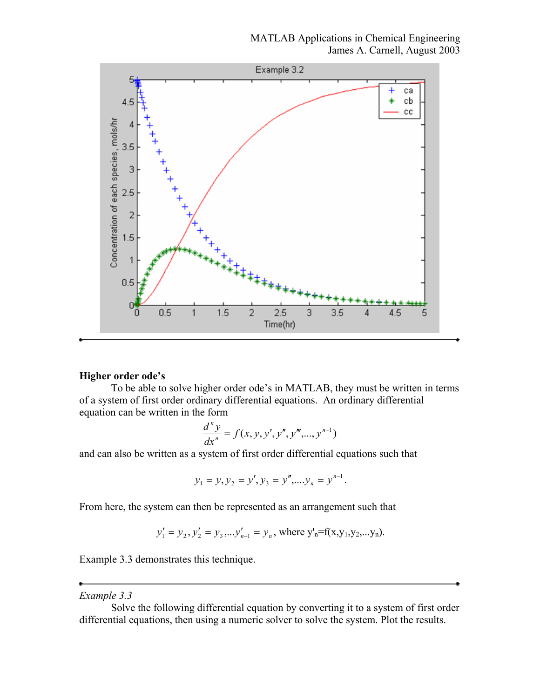

## **Higher order ode's**

To be able to solve higher order ode's in MATLAB, they must be written in terms of a system of first order ordinary differential equations. An ordinary differential equation can be written in the form

$$
\frac{d^{n} y}{dx^{n}} = f(x, y, y', y'', y''', ..., y^{n-1})
$$

and can also be written as a system of first order differential equations such that

$$
y_1 = y, y_2 = y', y_3 = y'', \dots, y_n = y^{n-1}.
$$

From here, the system can then be represented as an arrangement such that

$$
y'_1 = y_2, y'_2 = y_3, \dots, y'_{n-1} = y_n
$$
, where  $y'_n = f(x, y_1, y_2, \dots, y_n)$ .

Example 3.3 demonstrates this technique.

## *Example 3.3*

Solve the following differential equation by converting it to a system of first order differential equations, then using a numeric solver to solve the system. Plot the results.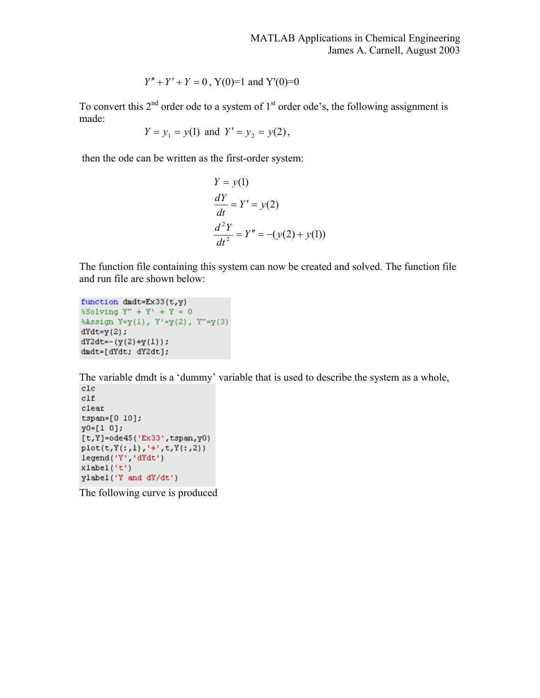$$
Y'' + Y' + Y = 0
$$
, Y(0)=1 and Y'(0)=0

To convert this  $2<sup>nd</sup>$  order ode to a system of  $1<sup>st</sup>$  order ode's, the following assignment is made:

$$
Y = y_1 = y(1) \text{ and } Y' = y_2 = y(2),
$$

then the ode can be written as the first-order system:

$$
Y = y(1)
$$
  
\n
$$
\frac{dY}{dt} = Y' = y(2)
$$
  
\n
$$
\frac{d^{2}Y}{dt^{2}} = Y'' = -(y(2) + y(1))
$$

The function file containing this system can now be created and solved. The function file and run file are shown below:

```
function dmdt = Ex33(t, y)\$Solving Y'' + Y' + Y = 0%Assign Y=y(1), Y'=y(2), Y''=y(3)dYdt = y(2) ;
dY2dt = -(y(2)+y(1));dndt=[dYdt; dY2dt];
```
The variable dmdt is a 'dummy' variable that is used to describe the system as a whole,

 $c1f$  $_{\text{clear}}$  $tspan=[0 10];$  $y0=[1 0];$  $[t, Y] = ode45('Ex33', tspan, Y0)$  $plot(t, Y(:, 1), '+', t, Y(:, 2))$ legend('Y','dYdt')  $xlabel('t')$ ylabel('Y and dY/dt')

The following curve is produced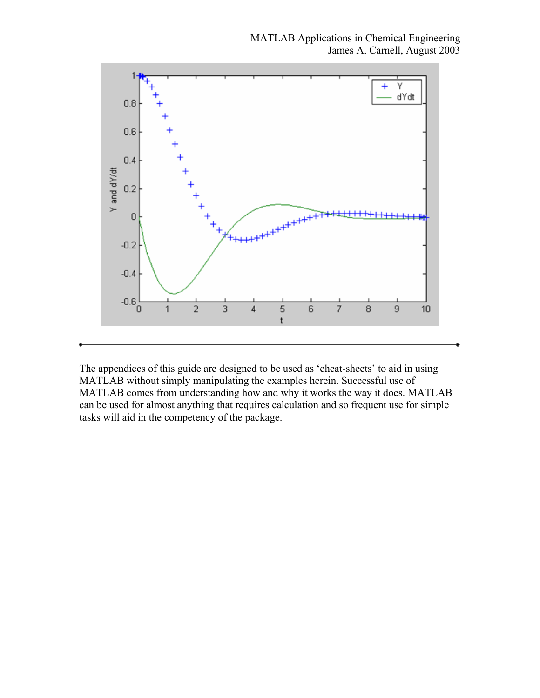

The appendices of this guide are designed to be used as 'cheat-sheets' to aid in using MATLAB without simply manipulating the examples herein. Successful use of MATLAB comes from understanding how and why it works the way it does. MATLAB can be used for almost anything that requires calculation and so frequent use for simple tasks will aid in the competency of the package.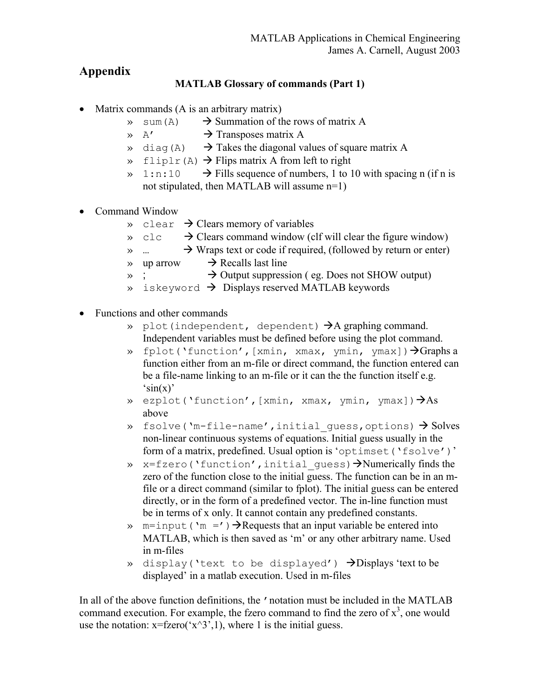# **Appendix**

## **MATLAB Glossary of commands (Part 1)**

- Matrix commands (A is an arbitrary matrix)
	- $\gg$  sum(A)  $\rightarrow$  Summation of the rows of matrix A
	- $\rightarrow$  Transposes matrix A
	- $\rightarrow$  diag(A)  $\rightarrow$  Takes the diagonal values of square matrix A
	- $\rightarrow$  fliplr(A)  $\rightarrow$  Flips matrix A from left to right
	- $\rightarrow$  1:n:10  $\rightarrow$  Fills sequence of numbers, 1 to 10 with spacing n (if n is not stipulated, then MATLAB will assume n=1)
- Command Window
	- $\rightarrow$  clear  $\rightarrow$  Clears memory of variables
	- $\rightarrow$  Clears command window (clf will clear the figure window)
	- $\rightarrow$  Wraps text or code if required, (followed by return or enter)
	- $\rightarrow$  up arrow  $\rightarrow$  Recalls last line
	- $\rightarrow$   $\rightarrow$  Output suppression ( eg. Does not SHOW output)
	- $\rightarrow$  iskeyword  $\rightarrow$  Displays reserved MATLAB keywords
- Functions and other commands
	- » plot(independent, dependent)  $\rightarrow$  A graphing command. Independent variables must be defined before using the plot command.
	- » fplot('function', [xmin, xmax, ymin, ymax])  $\rightarrow$  Graphs a function either from an m-file or direct command, the function entered can be a file-name linking to an m-file or it can the the function itself e.g.  $\sin(x)$
	- » ezplot('function', [xmin, xmax, ymin, ymax])  $\rightarrow$  As above
	- » fsolve('m-file-name', initial quess, options)  $\rightarrow$  Solves non-linear continuous systems of equations. Initial guess usually in the form of a matrix, predefined. Usual option is 'optimset('fsolve')'
	- $\rightarrow$  x=fzero('function', initial quess)  $\rightarrow$ Numerically finds the zero of the function close to the initial guess. The function can be in an mfile or a direct command (similar to fplot). The initial guess can be entered directly, or in the form of a predefined vector. The in-line function must be in terms of x only. It cannot contain any predefined constants.
	- » m=input ('m =')  $\rightarrow$ Requests that an input variable be entered into MATLAB, which is then saved as 'm' or any other arbitrary name. Used in m-files
	- » display('text to be displayed')  $\rightarrow$ Displays'text to be displayed' in a matlab execution. Used in m-files

In all of the above function definitions, the 'notation must be included in the MATLAB command execution. For example, the fzero command to find the zero of  $x<sup>3</sup>$ , one would use the notation:  $x = fzero('x^3,1)$ , where 1 is the initial guess.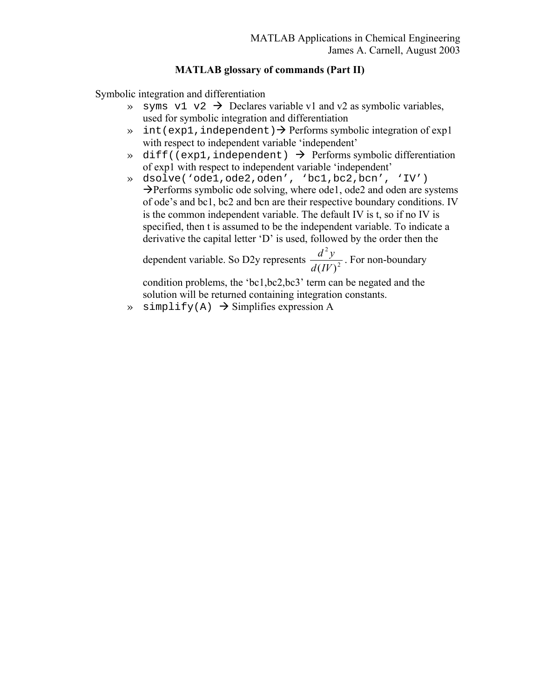## **MATLAB glossary of commands (Part II)**

Symbolic integration and differentiation

- $\rightarrow$  syms v1 v2  $\rightarrow$  Declares variable v1 and v2 as symbolic variables, used for symbolic integration and differentiation
- $\gg$  int(exp1, independent)  $\rightarrow$  Performs symbolic integration of exp1 with respect to independent variable 'independent'
- $\rightarrow$  diff((exp1,independent)  $\rightarrow$  Performs symbolic differentiation of exp1 with respect to independent variable 'independent'
- » dsolve('ode1,ode2,oden', 'bc1,bc2,bcn', 'IV')  $\rightarrow$  Performs symbolic ode solving, where ode1, ode2 and oden are systems of ode's and bc1, bc2 and bcn are their respective boundary conditions. IV is the common independent variable. The default IV is t, so if no IV is specified, then t is assumed to be the independent variable. To indicate a derivative the capital letter 'D' is used, followed by the order then the

dependent variable. So D2y represents  $\frac{a}{\mu} \frac{y}{(W)^2}$ 2 *d*(*IV*)  $\frac{d^2y}{dx^2}$ . For non-boundary

condition problems, the 'bc1,bc2,bc3' term can be negated and the solution will be returned containing integration constants.

 $\rightarrow$  simplify(A)  $\rightarrow$  Simplifies expression A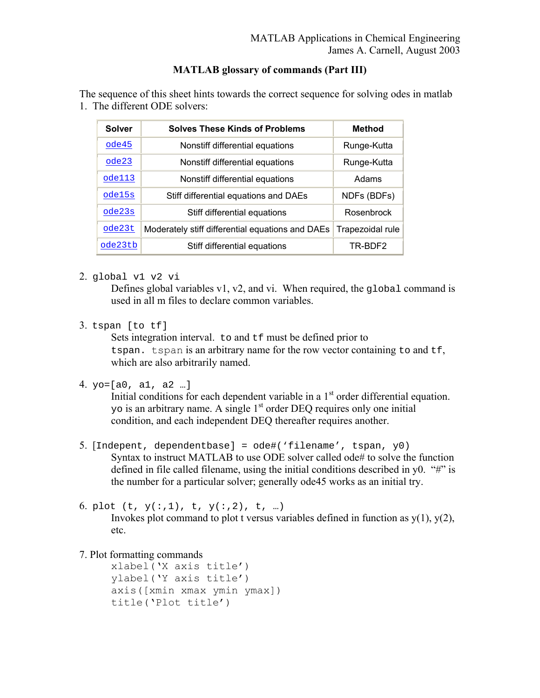## **MATLAB glossary of commands (Part III)**

The sequence of this sheet hints towards the correct sequence for solving odes in matlab 1. The different ODE solvers:

| <b>Solver</b> | <b>Solves These Kinds of Problems</b>            | <b>Method</b>    |
|---------------|--------------------------------------------------|------------------|
| ode45         | Nonstiff differential equations                  | Runge-Kutta      |
| ode23         | Nonstiff differential equations                  | Runge-Kutta      |
| ode113        | Nonstiff differential equations                  | Adams            |
| ode15s        | Stiff differential equations and DAEs            | NDFs (BDFs)      |
| ode23s        | Stiff differential equations                     | Rosenbrock       |
| ode23t        | Moderately stiff differential equations and DAEs | Trapezoidal rule |
| ode23tb       | Stiff differential equations                     | TR-BDF2          |

2. global v1 v2 vi

Defines global variables v1, v2, and vi. When required, the global command is used in all m files to declare common variables.

3. tspan [to tf]

Sets integration interval. to and  $\pm f$  must be defined prior to tspan. tspan is an arbitrary name for the row vector containing to and tf, which are also arbitrarily named.

```
4. yo=[a0, a1, a2 …]
```
Initial conditions for each dependent variable in a  $1<sup>st</sup>$  order differential equation. yo is an arbitrary name. A single 1<sup>st</sup> order DEQ requires only one initial condition, and each independent DEQ thereafter requires another.

5. [Indepent, dependentbase] = ode#('filename', tspan, y0) Syntax to instruct MATLAB to use ODE solver called ode# to solve the function defined in file called filename, using the initial conditions described in y0. "#" is the number for a particular solver; generally ode45 works as an initial try.

```
6. plot (t, y(:,1), t, y(:,2), t, ...)
```
Invokes plot command to plot t versus variables defined in function as  $y(1)$ ,  $y(2)$ , etc.

7. Plot formatting commands

xlabel('X axis title') ylabel('Y axis title') axis([xmin xmax ymin ymax]) title('Plot title')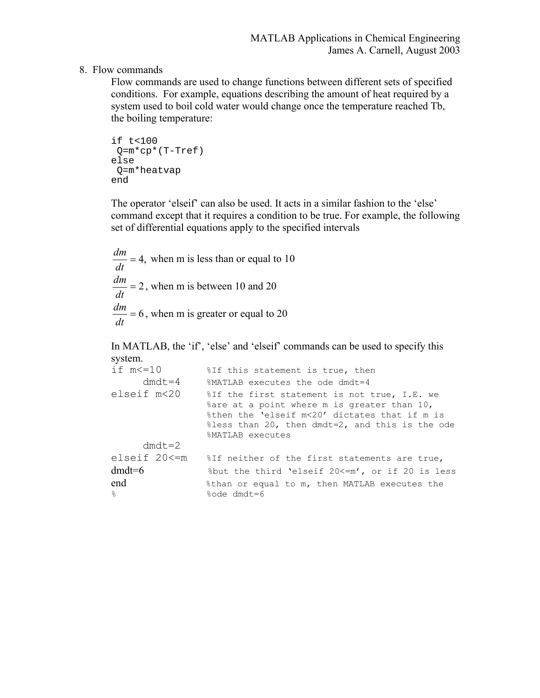## 8. Flow commands

Flow commands are used to change functions between different sets of specified conditions. For example, equations describing the amount of heat required by a system used to boil cold water would change once the temperature reached Tb, the boiling temperature:

```
if t<100 
  Q=m*cp*(T-Tref) 
else 
 Q=m*heatvap 
end
```
The operator 'elseif' can also be used. It acts in a similar fashion to the 'else' command except that it requires a condition to be true. For example, the following set of differential equations apply to the specified intervals

$$
\frac{dm}{dt} = 4
$$
, when m is less than or equal to 10  

$$
\frac{dm}{dt} = 2
$$
, when m is between 10 and 20  

$$
\frac{dm}{dt} = 6
$$
, when m is greater or equal to 20

In MATLAB, the 'if', 'else' and 'elseif' commands can be used to specify this system.

| if $m \leq 10$ | %If this statement is true, then                                                                                                                                                                                             |
|----------------|------------------------------------------------------------------------------------------------------------------------------------------------------------------------------------------------------------------------------|
| $dmdt = 4$     | %MATLAB executes the ode dmdt=4                                                                                                                                                                                              |
| elseif m<20    | %If the first statement is not true, I.E. we<br>% are at a point where m is greater than 10,<br>%then the 'elseif m<20' dictates that if m is<br>$\text{less}$ than 20, then dmdt=2, and this is the ode<br>%MATLAB executes |
| $dmdt = 2$     |                                                                                                                                                                                                                              |
| elseif 20<=m   | %If neither of the first statements are true,                                                                                                                                                                                |
| $dmdt = 6$     | $%$ but the third 'elseif 20 <= m', or if 20 is less                                                                                                                                                                         |
| end            | %than or equal to m, then MATLAB executes the                                                                                                                                                                                |
| $\approx$      | %ode dmdt=6                                                                                                                                                                                                                  |